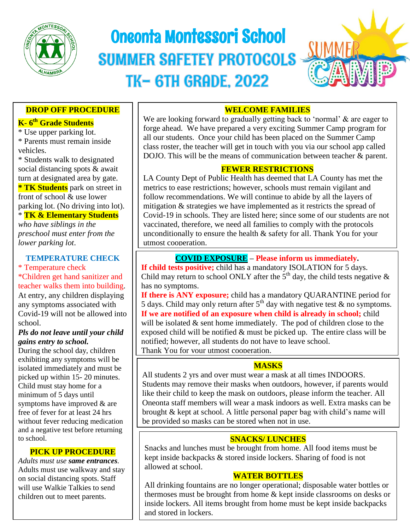

# Oneonta Montessori School **SUMMER SAFETEY PROTOCOLS TK-6TH GRADE, 2022**

٦



# **DROP OFF PROCEDURE**

# **K- 6 th Grade Students**

\* Use upper parking lot. \* Parents must remain inside vehicles.

\* Students walk to designated social distancing spots & await turn at designated area by gate. **\* TK Students** park on street in front of school & use lower parking lot. (No driving into lot).

 \* **TK & Elementary Students** *who have siblings in the* 

*preschool must enter from the lower parking lot*.

#### **TEMPERATURE CHECK** \* Temperature check

\*Children get hand sanitizer and teacher walks them into building. At entry, any children displaying any symptoms associated with Covid-19 will not be allowed into school.

#### *Pls do not leave until your child gains entry to school.*

picked up within 15- 20 minutes. During the school day, children exhibiting any symptoms will be isolated immediately and must be Child must stay home for a minimum of 5 days until symptoms have improved & are free of fever for at least 24 hrs without fever reducing medication and a negative test before returning to school.

## **PICK UP PROCEDURE**

*Adults must use same entrances.* Adults must use walkway and stay on social distancing spots. Staff will use Walkie Talkies to send children out to meet parents.

# **WELCOME FAMILIES**

We are looking forward to gradually getting back to 'normal' & are eager to<br>forge ahead. We have prepared a very exciting Summer Camp program for class roster, the teacher will get in touch with you via our school app called<br>DOIO. This will be the means of examination between tooken is negative We are looking forward to gradually getting back to 'normal' & are eager to all our students. Once your child has been placed on the Summer Camp DOJO. This will be the means of communication between teacher & parent.

# **FEWER RESTRICTIONS**

 $\ddot{\ }$ metrics to ease restrictions; however, schools must remain vigilant and follow recommendations. We will continue to abide by all the layers of LA County Dept of Public Health has deemed that LA County has met the follow recommendations. We will continue to abide by all the layers of mitigation & strategies we have implemented as it restricts the spread of Covid-19 in schools. They are listed here; since some of our students are not vaccinated, therefore, we need all families to comply with the protocols unconditionally to ensure the health & safety for all. Thank You for your utmost cooperation.

# **COVID EXPOSURE – Please inform us immediately.**

**If child tests positive;** child has a mandatory ISOLATION for 5 days. Child may return to school ONLY after the  $5<sup>th</sup>$  day, the child tests negative & has no symptoms.

**If there is ANY exposure;** child has a mandatory QUARANTINE period for 5 days. Child may only return after  $5<sup>th</sup>$  day with negative test & no symptoms. **If we are notified of an exposure when child is already in school;** child will be isolated  $&$  sent home immediately. The pod of children close to the exposed child will be notified  $&$  must be picked up. The entire class will be notified; however, all students do not have to leave school. Thank You for your utmost cooperation.

# **MASKS**

All students 2 yrs and over must wear a mask at all times INDOORS. Students may remove their masks when outdoors, however, if parents would like their child to keep the mask on outdoors, please inform the teacher. All Oneonta staff members will wear a mask indoors as well. Extra masks can be brought & kept at school. A little personal paper bag with child's name will be provided so masks can be stored when not in use.

# **SNACKS/ LUNCHES**

Snacks and lunches must be brought from home. All food items must be kept inside backpacks & stored inside lockers. Sharing of food is not allowed at school.

# **WATER BOTTLES**

All drinking fountains are no longer operational; disposable water bottles or thermoses must be brought from home & kept inside classrooms on desks or inside lockers. All items brought from home must be kept inside backpacks and stored in lockers.